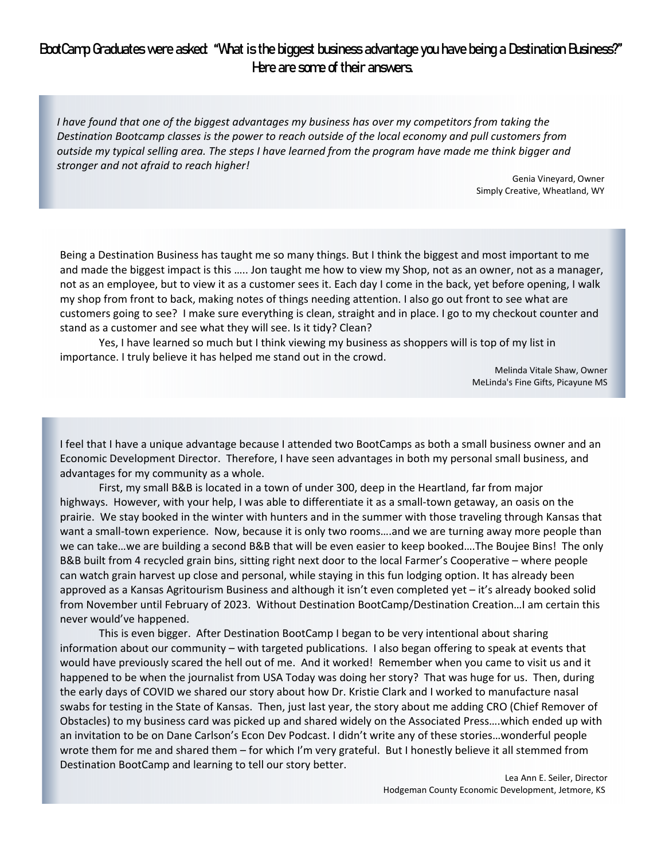## BootCamp Graduates were asked: "What is the biggest business advantage you have being a Destination Business?" Here are some of their answers.

I have found that one of the biggest advantages my business has over my competitors from taking the *Destination Bootcamp classes is the power to reach outside of the local economy and pull customers from* outside my typical selling area. The steps I have learned from the program have made me think bigger and *stronger and not afraid to reach higher!* 

> Genia Vineyard, Owner Simply Creative, Wheatland, WY

Being a Destination Business has taught me so many things. But I think the biggest and most important to me and made the biggest impact is this ….. Jon taught me how to view my Shop, not as an owner, not as a manager, not as an employee, but to view it as a customer sees it. Each day I come in the back, yet before opening, I walk my shop from front to back, making notes of things needing attention. I also go out front to see what are customers going to see? I make sure everything is clean, straight and in place. I go to my checkout counter and stand as a customer and see what they will see. Is it tidy? Clean?

Yes, I have learned so much but I think viewing my business as shoppers will is top of my list in importance. I truly believe it has helped me stand out in the crowd.

> Melinda Vitale Shaw, Owner MeLinda's Fine Gifts, Picayune MS

I feel that I have a unique advantage because I attended two BootCamps as both a small business owner and an Economic Development Director. Therefore, I have seen advantages in both my personal small business, and advantages for my community as a whole.

First, my small B&B is located in a town of under 300, deep in the Heartland, far from major highways. However, with your help, I was able to differentiate it as a small-town getaway, an oasis on the prairie. We stay booked in the winter with hunters and in the summer with those traveling through Kansas that want a small-town experience. Now, because it is only two rooms....and we are turning away more people than we can take…we are building a second B&B that will be even easier to keep booked….The Boujee Bins! The only B&B built from 4 recycled grain bins, sitting right next door to the local Farmer's Cooperative – where people can watch grain harvest up close and personal, while staying in this fun lodging option. It has already been approved as a Kansas Agritourism Business and although it isn't even completed yet – it's already booked solid from November until February of 2023. Without Destination BootCamp/Destination Creation…I am certain this never would've happened.

This is even bigger. After Destination BootCamp I began to be very intentional about sharing information about our community – with targeted publications. I also began offering to speak at events that would have previously scared the hell out of me. And it worked! Remember when you came to visit us and it happened to be when the journalist from USA Today was doing her story? That was huge for us. Then, during the early days of COVID we shared our story about how Dr. Kristie Clark and I worked to manufacture nasal swabs for testing in the State of Kansas. Then, just last year, the story about me adding CRO (Chief Remover of Obstacles) to my business card was picked up and shared widely on the Associated Press….which ended up with an invitation to be on Dane Carlson's Econ Dev Podcast. I didn't write any of these stories…wonderful people wrote them for me and shared them – for which I'm very grateful. But I honestly believe it all stemmed from Destination BootCamp and learning to tell our story better.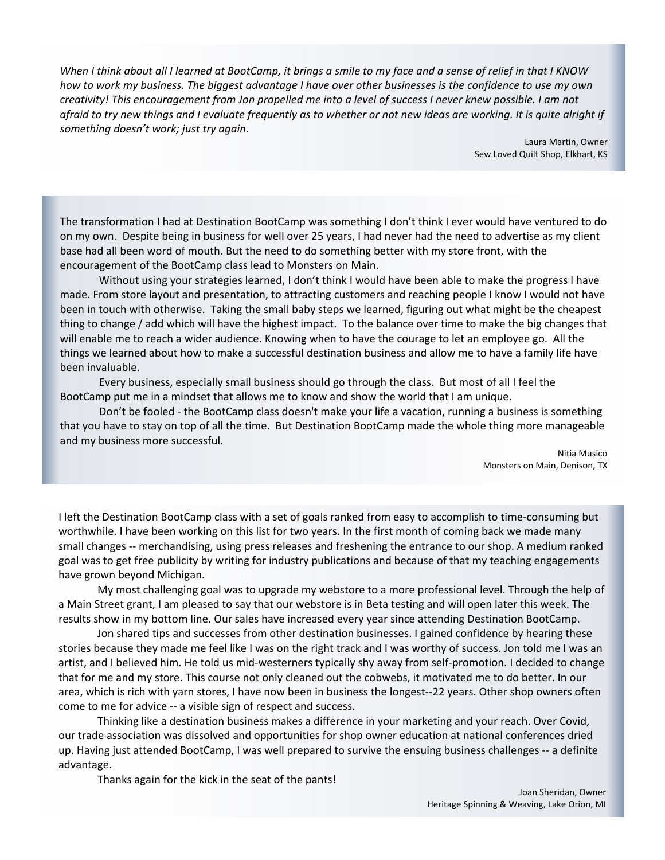When I think about all I learned at BootCamp, it brings a smile to my face and a sense of relief in that I KNOW how to work my business. The biggest advantage I have over other businesses is the confidence to use my own creativity! This encouragement from Jon propelled me into a level of success I never knew possible. I am not afraid to try new things and I evaluate frequently as to whether or not new ideas are working. It is quite alright if *something doesn't work; just try again.*

> Laura Martin, Owner Sew Loved Quilt Shop, Elkhart, KS

The transformation I had at Destination BootCamp was something I don't think I ever would have ventured to do on my own. Despite being in business for well over 25 years, I had never had the need to advertise as my client base had all been word of mouth. But the need to do something better with my store front, with the encouragement of the BootCamp class lead to Monsters on Main.

Without using your strategies learned, I don't think I would have been able to make the progress I have made. From store layout and presentation, to attracting customers and reaching people I know I would not have been in touch with otherwise. Taking the small baby steps we learned, figuring out what might be the cheapest thing to change / add which will have the highest impact. To the balance over time to make the big changes that will enable me to reach a wider audience. Knowing when to have the courage to let an employee go. All the things we learned about how to make a successful destination business and allow me to have a family life have been invaluable.

Every business, especially small business should go through the class. But most of all I feel the BootCamp put me in a mindset that allows me to know and show the world that I am unique.

Don't be fooled ‐ the BootCamp class doesn't make your life a vacation, running a business is something that you have to stay on top of all the time. But Destination BootCamp made the whole thing more manageable and my business more successful.

> Nitia Musico Monsters on Main, Denison, TX

I left the Destination BootCamp class with a set of goals ranked from easy to accomplish to time‐consuming but worthwhile. I have been working on this list for two years. In the first month of coming back we made many small changes ‐‐ merchandising, using press releases and freshening the entrance to our shop. A medium ranked goal was to get free publicity by writing for industry publications and because of that my teaching engagements have grown beyond Michigan.

My most challenging goal was to upgrade my webstore to a more professional level. Through the help of a Main Street grant, I am pleased to say that our webstore is in Beta testing and will open later this week. The results show in my bottom line. Our sales have increased every year since attending Destination BootCamp.

Jon shared tips and successes from other destination businesses. I gained confidence by hearing these stories because they made me feel like I was on the right track and I was worthy of success. Jon told me I was an artist, and I believed him. He told us mid‐westerners typically shy away from self‐promotion. I decided to change that for me and my store. This course not only cleaned out the cobwebs, it motivated me to do better. In our area, which is rich with yarn stores, I have now been in business the longest--22 years. Other shop owners often come to me for advice ‐‐ a visible sign of respect and success.

Thinking like a destination business makes a difference in your marketing and your reach. Over Covid, our trade association was dissolved and opportunities for shop owner education at national conferences dried up. Having just attended BootCamp, I was well prepared to survive the ensuing business challenges ‐‐ a definite advantage.

Thanks again for the kick in the seat of the pants!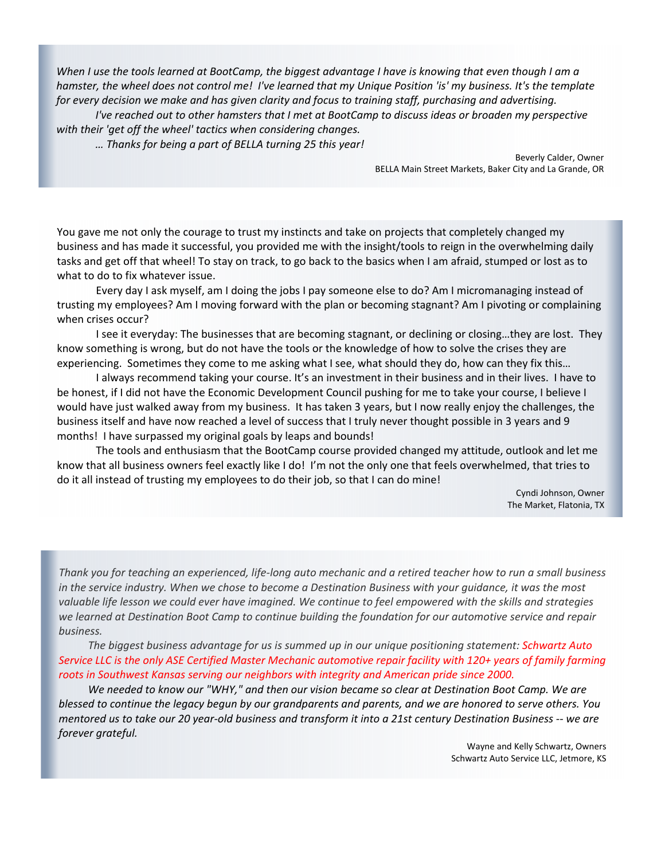When I use the tools learned at BootCamp, the biggest advantage I have is knowing that even though I am a hamster, the wheel does not control me! I've learned that my Unique Position 'is' my business. It's the template for every decision we make and has given clarity and focus to training staff, purchasing and advertising.

I've reached out to other hamsters that I met at BootCamp to discuss ideas or broaden my perspective *with their 'get off the wheel' tactics when considering changes.*

*… Thanks for being a part of BELLA turning 25 this year!*

Beverly Calder, Owner BELLA Main Street Markets, Baker City and La Grande, OR

You gave me not only the courage to trust my instincts and take on projects that completely changed my business and has made it successful, you provided me with the insight/tools to reign in the overwhelming daily tasks and get off that wheel! To stay on track, to go back to the basics when I am afraid, stumped or lost as to what to do to fix whatever issue.

Every day I ask myself, am I doing the jobs I pay someone else to do? Am I micromanaging instead of trusting my employees? Am I moving forward with the plan or becoming stagnant? Am I pivoting or complaining when crises occur?

I see it everyday: The businesses that are becoming stagnant, or declining or closing…they are lost. They know something is wrong, but do not have the tools or the knowledge of how to solve the crises they are experiencing. Sometimes they come to me asking what I see, what should they do, how can they fix this...

I always recommend taking your course. It's an investment in their business and in their lives. I have to be honest, if I did not have the Economic Development Council pushing for me to take your course, I believe I would have just walked away from my business. It has taken 3 years, but I now really enjoy the challenges, the business itself and have now reached a level of success that I truly never thought possible in 3 years and 9 months! I have surpassed my original goals by leaps and bounds!

The tools and enthusiasm that the BootCamp course provided changed my attitude, outlook and let me know that all business owners feel exactly like I do! I'm not the only one that feels overwhelmed, that tries to do it all instead of trusting my employees to do their job, so that I can do mine!

> Cyndi Johnson, Owner The Market, Flatonia, TX

Thank you for teaching an experienced, life-long auto mechanic and a retired teacher how to run a small business in the service industry. When we chose to become a Destination Business with your quidance, it was the most valuable life lesson we could ever have imagined. We continue to feel empowered with the skills and strategies we learned at Destination Boot Camp to continue building the foundation for our automotive service and repair *business.* 

*The biggest business advantage for us is summed up in our unique positioning statement: Schwartz Auto* Service LLC is the only ASE Certified Master Mechanic automotive repair facility with 120+ years of family farming *roots in Southwest Kansas serving our neighbors with integrity and American pride since 2000.* 

We needed to know our "WHY," and then our vision became so clear at Destination Boot Camp. We are blessed to continue the legacy begun by our grandparents and parents, and we are honored to serve others. You mentored us to take our 20 year-old business and transform it into a 21st century Destination Business -- we are *forever grateful.*

> Wayne and Kelly Schwartz, Owners Schwartz Auto Service LLC, Jetmore, KS